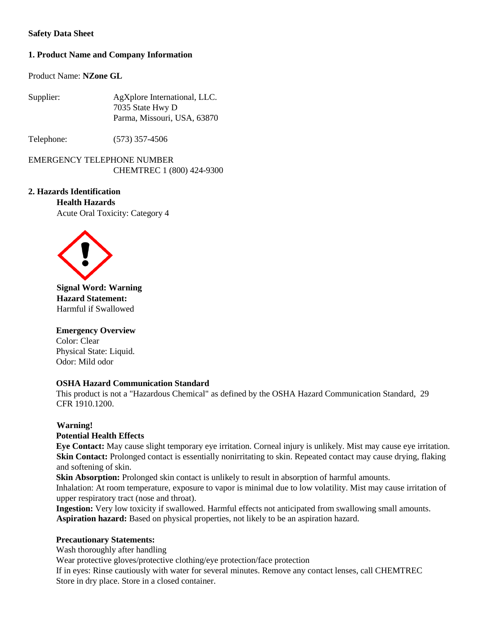## **Safety Data Sheet**

# **1. Product Name and Company Information**

Product Name: **NZone GL**

| Supplier: | AgXplore International, LLC. |
|-----------|------------------------------|
|           | 7035 State Hwy D             |
|           | Parma, Missouri, USA, 63870  |

Telephone: (573) 357-4506

EMERGENCY TELEPHONE NUMBER CHEMTREC 1 (800) 424-9300

## **2. Hazards Identification**

**Health Hazards** Acute Oral Toxicity: Category 4



**Signal Word: Warning Hazard Statement:** Harmful if Swallowed

#### **Emergency Overview**  Color: Clear

Physical State: Liquid. Odor: Mild odor

# **OSHA Hazard Communication Standard**

This product is not a "Hazardous Chemical" as defined by the OSHA Hazard Communication Standard, 29 CFR 1910.1200.

# **Warning!**

## **Potential Health Effects**

**Eye Contact:** May cause slight temporary eye irritation. Corneal injury is unlikely. Mist may cause eye irritation. **Skin Contact:** Prolonged contact is essentially nonirritating to skin. Repeated contact may cause drying, flaking and softening of skin.

**Skin Absorption:** Prolonged skin contact is unlikely to result in absorption of harmful amounts. Inhalation: At room temperature, exposure to vapor is minimal due to low volatility. Mist may cause irritation of upper respiratory tract (nose and throat).

**Ingestion:** Very low toxicity if swallowed. Harmful effects not anticipated from swallowing small amounts. **Aspiration hazard:** Based on physical properties, not likely to be an aspiration hazard.

# **Precautionary Statements:**

Wash thoroughly after handling

Wear protective gloves/protective clothing/eye protection/face protection

If in eyes: Rinse cautiously with water for several minutes. Remove any contact lenses, call CHEMTREC Store in dry place. Store in a closed container.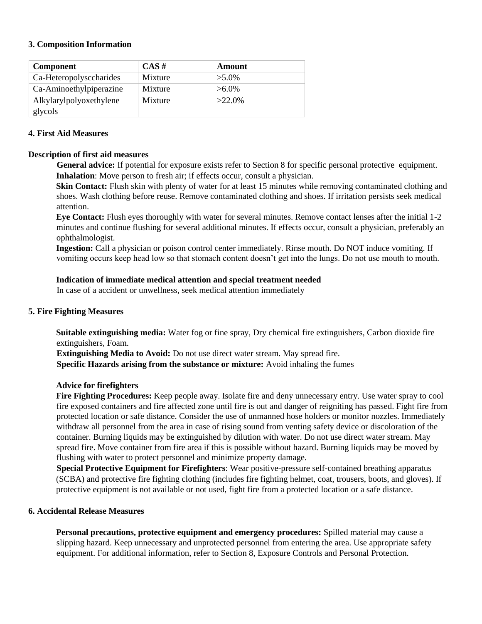#### **3. Composition Information**

| <b>Component</b>        | $CAS \#$ | Amount    |
|-------------------------|----------|-----------|
| Ca-Heteropolysccharides | Mixture  | $>5.0\%$  |
| Ca-Aminoethylpiperazine | Mixture  | $>6.0\%$  |
| Alkylarylpolyoxethylene | Mixture  | $>22.0\%$ |
| glycols                 |          |           |

## **4. First Aid Measures**

#### **Description of first aid measures**

**General advice:** If potential for exposure exists refer to Section 8 for specific personal protective equipment. **Inhalation**: Move person to fresh air; if effects occur, consult a physician.

**Skin Contact:** Flush skin with plenty of water for at least 15 minutes while removing contaminated clothing and shoes. Wash clothing before reuse. Remove contaminated clothing and shoes. If irritation persists seek medical attention.

**Eye Contact:** Flush eyes thoroughly with water for several minutes. Remove contact lenses after the initial 1-2 minutes and continue flushing for several additional minutes. If effects occur, consult a physician, preferably an ophthalmologist.

**Ingestion:** Call a physician or poison control center immediately. Rinse mouth. Do NOT induce vomiting. If vomiting occurs keep head low so that stomach content doesn't get into the lungs. Do not use mouth to mouth.

#### **Indication of immediate medical attention and special treatment needed**

In case of a accident or unwellness, seek medical attention immediately

## **5. Fire Fighting Measures**

**Suitable extinguishing media:** Water fog or fine spray, Dry chemical fire extinguishers, Carbon dioxide fire extinguishers, Foam.

**Extinguishing Media to Avoid:** Do not use direct water stream. May spread fire. **Specific Hazards arising from the substance or mixture:** Avoid inhaling the fumes

#### **Advice for firefighters**

**Fire Fighting Procedures:** Keep people away. Isolate fire and deny unnecessary entry. Use water spray to cool fire exposed containers and fire affected zone until fire is out and danger of reigniting has passed. Fight fire from protected location or safe distance. Consider the use of unmanned hose holders or monitor nozzles. Immediately withdraw all personnel from the area in case of rising sound from venting safety device or discoloration of the container. Burning liquids may be extinguished by dilution with water. Do not use direct water stream. May spread fire. Move container from fire area if this is possible without hazard. Burning liquids may be moved by flushing with water to protect personnel and minimize property damage.

**Special Protective Equipment for Firefighters**: Wear positive-pressure self-contained breathing apparatus (SCBA) and protective fire fighting clothing (includes fire fighting helmet, coat, trousers, boots, and gloves). If protective equipment is not available or not used, fight fire from a protected location or a safe distance.

## **6. Accidental Release Measures**

**Personal precautions, protective equipment and emergency procedures:** Spilled material may cause a slipping hazard. Keep unnecessary and unprotected personnel from entering the area. Use appropriate safety equipment. For additional information, refer to Section 8, Exposure Controls and Personal Protection.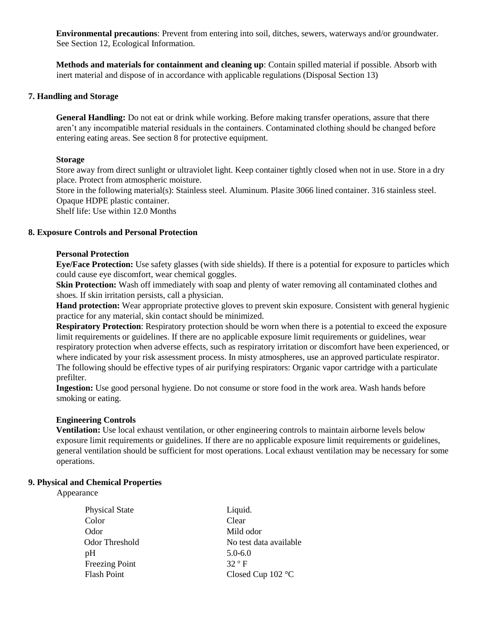**Environmental precautions**: Prevent from entering into soil, ditches, sewers, waterways and/or groundwater. See Section 12, Ecological Information.

**Methods and materials for containment and cleaning up**: Contain spilled material if possible. Absorb with inert material and dispose of in accordance with applicable regulations (Disposal Section 13)

#### **7. Handling and Storage**

**General Handling:** Do not eat or drink while working. Before making transfer operations, assure that there aren't any incompatible material residuals in the containers. Contaminated clothing should be changed before entering eating areas. See section 8 for protective equipment.

#### **Storage**

Store away from direct sunlight or ultraviolet light. Keep container tightly closed when not in use. Store in a dry place. Protect from atmospheric moisture.

Store in the following material(s): Stainless steel. Aluminum. Plasite 3066 lined container. 316 stainless steel. Opaque HDPE plastic container.

Shelf life: Use within 12.0 Months

## **8. Exposure Controls and Personal Protection**

#### **Personal Protection**

**Eye/Face Protection:** Use safety glasses (with side shields). If there is a potential for exposure to particles which could cause eye discomfort, wear chemical goggles.

**Skin Protection:** Wash off immediately with soap and plenty of water removing all contaminated clothes and shoes. If skin irritation persists, call a physician.

**Hand protection:** Wear appropriate protective gloves to prevent skin exposure. Consistent with general hygienic practice for any material, skin contact should be minimized.

**Respiratory Protection**: Respiratory protection should be worn when there is a potential to exceed the exposure limit requirements or guidelines. If there are no applicable exposure limit requirements or guidelines, wear respiratory protection when adverse effects, such as respiratory irritation or discomfort have been experienced, or where indicated by your risk assessment process. In misty atmospheres, use an approved particulate respirator. The following should be effective types of air purifying respirators: Organic vapor cartridge with a particulate prefilter.

**Ingestion:** Use good personal hygiene. Do not consume or store food in the work area. Wash hands before smoking or eating.

#### **Engineering Controls**

**Ventilation:** Use local exhaust ventilation, or other engineering controls to maintain airborne levels below exposure limit requirements or guidelines. If there are no applicable exposure limit requirements or guidelines, general ventilation should be sufficient for most operations. Local exhaust ventilation may be necessary for some operations.

#### **9. Physical and Chemical Properties**

Appearance

| <b>Physical State</b> | Liquid.                    |
|-----------------------|----------------------------|
| Color                 | Clear                      |
| Odor                  | Mild odor                  |
| Odor Threshold        | No test data available     |
| pH                    | $5.0 - 6.0$                |
| Freezing Point        | $32^{\circ}$ F             |
| Flash Point           | Closed Cup $102^{\circ}$ C |
|                       |                            |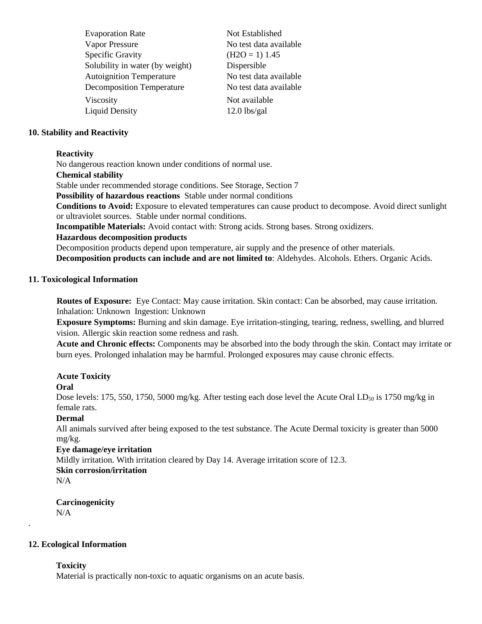| <b>Evaporation Rate</b>          | Not Established        |
|----------------------------------|------------------------|
| <b>Vapor Pressure</b>            | No test data available |
| <b>Specific Gravity</b>          | $(H2O = 1)$ 1.45       |
| Solubility in water (by weight)  | Dispersible            |
| <b>Autoignition Temperature</b>  | No test data available |
| <b>Decomposition Temperature</b> | No test data available |
| Viscosity                        | Not available          |
| <b>Liquid Density</b>            | $12.0$ lbs/gal         |
|                                  |                        |

## **10. Stability and Reactivity**

#### **Reactivity**

No dangerous reaction known under conditions of normal use.

#### **Chemical stability**

Stable under recommended storage conditions. See Storage, Section 7

**Possibility of hazardous reactions** Stable under normal conditions

**Conditions to Avoid:** Exposure to elevated temperatures can cause product to decompose. Avoid direct sunlight or ultraviolet sources. Stable under normal conditions.

**Incompatible Materials:** Avoid contact with: Strong acids. Strong bases. Strong oxidizers.

#### **Hazardous decomposition products**

Decomposition products depend upon temperature, air supply and the presence of other materials. **Decomposition products can include and are not limited to**: Aldehydes. Alcohols. Ethers. Organic Acids.

## **11. Toxicological Information**

**Routes of Exposure:** Eye Contact: May cause irritation. Skin contact: Can be absorbed, may cause irritation. Inhalation: Unknown Ingestion: Unknown

**Exposure Symptoms:** Burning and skin damage. Eye irritation-stinging, tearing, redness, swelling, and blurred vision. Allergic skin reaction some redness and rash.

**Acute and Chronic effects:** Components may be absorbed into the body through the skin. Contact may irritate or burn eyes. Prolonged inhalation may be harmful. Prolonged exposures may cause chronic effects.

## **Acute Toxicity**

## **Oral**

Dose levels: 175, 550, 1750, 5000 mg/kg. After testing each dose level the Acute Oral  $LD_{50}$  is 1750 mg/kg in female rats.

## **Dermal**

All animals survived after being exposed to the test substance. The Acute Dermal toxicity is greater than 5000 mg/kg.

## **Eye damage/eye irritation**

Mildly irritation. With irritation cleared by Day 14. Average irritation score of 12.3.

# **Skin corrosion/irritation**

 $N/A$ 

.

## **Carcinogenicity**  N/A

## **12. Ecological Information**

## **Toxicity**

Material is practically non-toxic to aquatic organisms on an acute basis.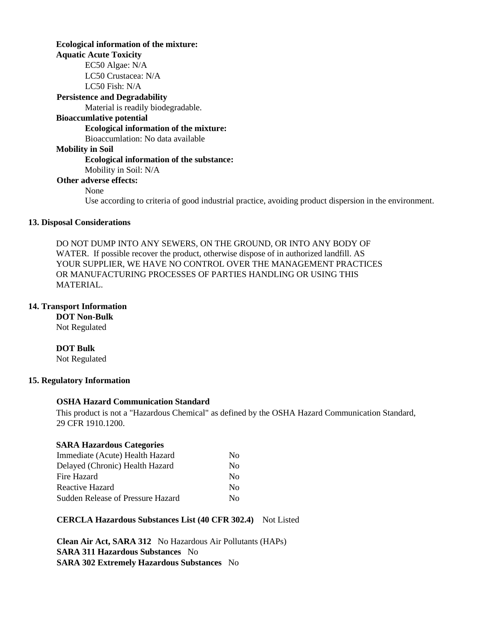## **Ecological information of the mixture:**

**Aquatic Acute Toxicity**

EC50 Algae: N/A LC50 Crustacea: N/A LC50 Fish: N/A

**Persistence and Degradability** 

Material is readily biodegradable.

## **Bioaccumlative potential**

#### **Ecological information of the mixture:**

Bioaccumlation: No data available

# **Mobility in Soil**

#### **Ecological information of the substance:**

Mobility in Soil: N/A

#### **Other adverse effects:**

None

Use according to criteria of good industrial practice, avoiding product dispersion in the environment.

## **13. Disposal Considerations**

DO NOT DUMP INTO ANY SEWERS, ON THE GROUND, OR INTO ANY BODY OF WATER. If possible recover the product, otherwise dispose of in authorized landfill. AS YOUR SUPPLIER, WE HAVE NO CONTROL OVER THE MANAGEMENT PRACTICES OR MANUFACTURING PROCESSES OF PARTIES HANDLING OR USING THIS MATERIAL.

#### **14. Transport Information**

#### **DOT Non-Bulk**  Not Regulated

## **DOT Bulk**

Not Regulated

## **15. Regulatory Information**

## **OSHA Hazard Communication Standard**

This product is not a "Hazardous Chemical" as defined by the OSHA Hazard Communication Standard, 29 CFR 1910.1200.

#### **SARA Hazardous Categories**

| Immediate (Acute) Health Hazard   | No. |
|-----------------------------------|-----|
| Delayed (Chronic) Health Hazard   | No. |
| Fire Hazard                       | No. |
| Reactive Hazard                   | No. |
| Sudden Release of Pressure Hazard | Nο  |

## **CERCLA Hazardous Substances List (40 CFR 302.4)** Not Listed

**Clean Air Act, SARA 312** No Hazardous Air Pollutants (HAPs) **SARA 311 Hazardous Substances** No **SARA 302 Extremely Hazardous Substances** No